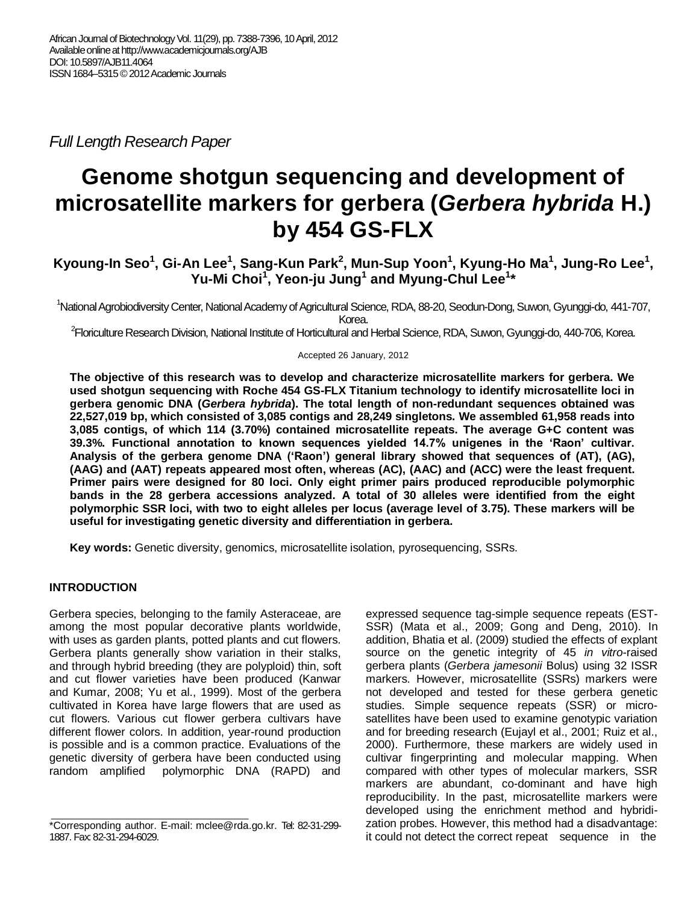*Full Length Research Paper*

# **Genome shotgun sequencing and development of microsatellite markers for gerbera (***Gerbera hybrida* **H.) by 454 GS-FLX**

Kyoung-In Seo<sup>1</sup>, Gi-An Lee<sup>1</sup>, Sang-Kun Park<sup>2</sup>, Mun-Sup Yoon<sup>1</sup>, Kyung-Ho Ma<sup>1</sup>, Jung-Ro Lee<sup>1</sup>, **Yu-Mi Choi<sup>1</sup> , Yeon-ju Jung<sup>1</sup> and Myung-Chul Lee<sup>1</sup> \***

<sup>1</sup>National Agrobiodiversity Center, National Academy of Agricultural Science, RDA, 88-20, Seodun-Dong, Suwon, Gyunggi-do, 441-707, Korea.

<sup>2</sup>Floriculture Research Division, National Institute of Horticultural and Herbal Science, RDA, Suwon, Gyunggi-do, 440-706, Korea.

Accepted 26 January, 2012

**The objective of this research was to develop and characterize microsatellite markers for gerbera. We used shotgun sequencing with Roche 454 GS-FLX Titanium technology to identify microsatellite loci in gerbera genomic DNA (***Gerbera hybrida***). The total length of non-redundant sequences obtained was 22,527,019 bp, which consisted of 3,085 contigs and 28,249 singletons. We assembled 61,958 reads into 3,085 contigs, of which 114 (3.70%) contained microsatellite repeats. The average G+C content was 39.3%. Functional annotation to known sequences yielded 14.7% unigenes in the 'Raon' cultivar. Analysis of the gerbera genome DNA ('Raon') general library showed that sequences of (AT), (AG), (AAG) and (AAT) repeats appeared most often, whereas (AC), (AAC) and (ACC) were the least frequent. Primer pairs were designed for 80 loci. Only eight primer pairs produced reproducible polymorphic bands in the 28 gerbera accessions analyzed. A total of 30 alleles were identified from the eight polymorphic SSR loci, with two to eight alleles per locus (average level of 3.75). These markers will be useful for investigating genetic diversity and differentiation in gerbera.** 

**Key words:** Genetic diversity, genomics, microsatellite isolation, pyrosequencing, SSRs.

## **INTRODUCTION**

Gerbera species, belonging to the family Asteraceae, are among the most popular decorative plants worldwide, with uses as garden plants, potted plants and cut flowers. Gerbera plants generally show variation in their stalks, and through hybrid breeding (they are polyploid) thin, soft and cut flower varieties have been produced (Kanwar and Kumar, 2008; Yu et al., 1999). Most of the gerbera cultivated in Korea have large flowers that are used as cut flowers. Various cut flower gerbera cultivars have different flower colors. In addition, year-round production is possible and is a common practice. Evaluations of the genetic diversity of gerbera have been conducted using random amplified polymorphic DNA (RAPD) and expressed sequence tag-simple sequence repeats (EST-SSR) (Mata et al., 2009; Gong and Deng, 2010). In addition, Bhatia et al. (2009) studied the effects of explant source on the genetic integrity of 45 *in vitro*-raised gerbera plants (*Gerbera jamesonii* Bolus) using 32 ISSR markers. However, microsatellite (SSRs) markers were not developed and tested for these gerbera genetic studies. Simple sequence repeats (SSR) or microsatellites have been used to examine genotypic variation and for breeding research (Eujayl et al., 2001; Ruiz et al., 2000). Furthermore, these markers are widely used in cultivar fingerprinting and molecular mapping. When compared with other types of molecular markers, SSR markers are abundant, co-dominant and have high reproducibility. In the past, microsatellite markers were developed using the enrichment method and hybridization probes. However, this method had a disadvantage: it could not detect the correct repeat sequence in the

<sup>\*</sup>Corresponding author. E-mail: mclee@rda.go.kr. Tel: 82-31-299- 1887. Fax: 82-31-294-6029.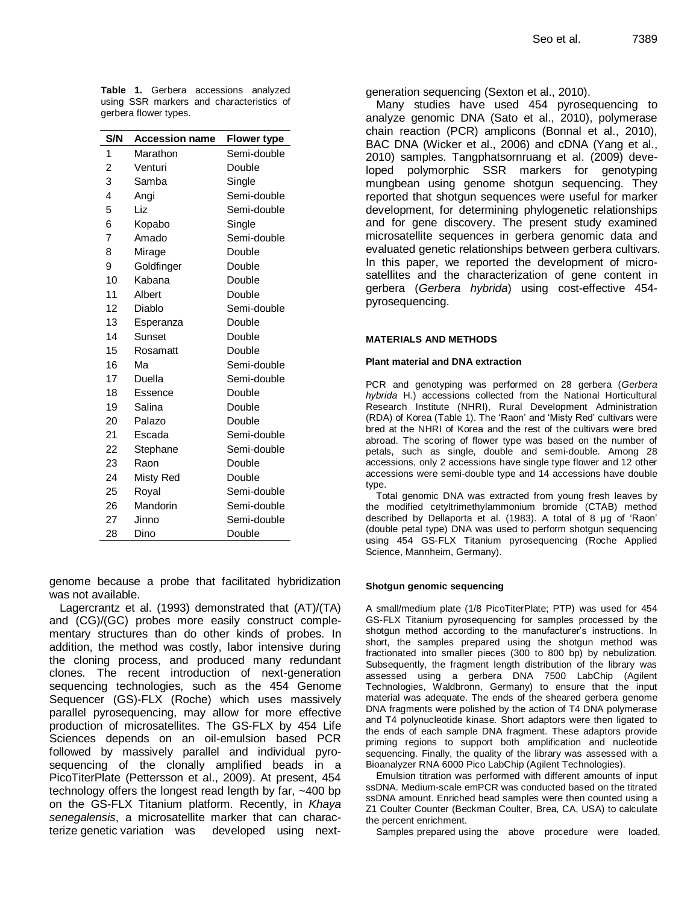**Table 1.** Gerbera accessions analyzed using SSR markers and characteristics of gerbera flower types.

| S/N            | <b>Accession name</b> | <b>Flower type</b> |
|----------------|-----------------------|--------------------|
| 1              | Marathon              | Semi-double        |
| $\overline{c}$ | Venturi               | Double             |
| 3              | Samba                 | Single             |
| 4              | Angi                  | Semi-double        |
| 5              | Liz                   | Semi-double        |
| 6              | Kopabo                | Single             |
| 7              | Amado                 | Semi-double        |
| 8              | Mirage                | Double             |
| 9              | Goldfinger            | Double             |
| 10             | Kabana                | Double             |
| 11             | Albert                | Double             |
| 12             | Diablo                | Semi-double        |
| 13             | Esperanza             | Double             |
| 14             | Sunset                | Double             |
| 15             | Rosamatt              | Double             |
| 16             | Ма                    | Semi-double        |
| 17             | Duella                | Semi-double        |
| 18             | Essence               | Double             |
| 19             | Salina                | Double             |
| 20             | Palazo                | Double             |
| 21             | Escada                | Semi-double        |
| 22             | Stephane              | Semi-double        |
| 23             | Raon                  | Double             |
| 24             | Misty Red             | Double             |
| 25             | Royal                 | Semi-double        |
| 26             | Mandorin              | Semi-double        |
| 27             | Jinno                 | Semi-double        |
| 28             | Dino                  | Double             |

genome because a probe that facilitated hybridization was not available.

Lagercrantz et al. (1993) demonstrated that (AT)/(TA) and (CG)/(GC) probes more easily construct complementary structures than do other kinds of probes. In addition, the method was costly, labor intensive during the cloning process, and produced many redundant clones. The recent introduction of next-generation sequencing technologies, such as the 454 Genome Sequencer (GS)-FLX (Roche) which uses massively parallel pyrosequencing, may allow for more effective production of microsatellites. The GS-FLX by 454 Life Sciences depends on an oil-emulsion based PCR followed by massively parallel and individual pyrosequencing of the clonally amplified beads in a PicoTiterPlate (Pettersson et al., 2009). At present, 454 technology offers the longest read length by far, ~400 bp on the GS-FLX Titanium platform. Recently, in *Khaya senegalensis*, a microsatellite marker that can characterize genetic variation was developed using nextgeneration sequencing (Sexton et al., 2010).

Many studies have used 454 pyrosequencing to analyze genomic DNA (Sato et al., 2010), polymerase chain reaction (PCR) amplicons (Bonnal et al., 2010), BAC DNA (Wicker et al., 2006) and cDNA (Yang et al., 2010) samples. Tangphatsornruang et al. (2009) developed polymorphic SSR markers for genotyping mungbean using genome shotgun sequencing. They reported that shotgun sequences were useful for marker development, for determining phylogenetic relationships and for gene discovery. The present study examined microsatellite sequences in gerbera genomic data and evaluated genetic relationships between gerbera cultivars. In this paper, we reported the development of microsatellites and the characterization of gene content in gerbera (*Gerbera hybrida*) using cost-effective 454 pyrosequencing.

#### **MATERIALS AND METHODS**

#### **Plant material and DNA extraction**

PCR and genotyping was performed on 28 gerbera (*Gerbera hybrida* H.) accessions collected from the National Horticultural Research Institute (NHRI), Rural Development Administration (RDA) of Korea (Table 1). The 'Raon' and 'Misty Red' cultivars were bred at the NHRI of Korea and the rest of the cultivars were bred abroad. The scoring of flower type was based on the number of petals, such as single, double and semi-double. Among 28 accessions, only 2 accessions have single type flower and 12 other accessions were semi-double type and 14 accessions have double type.

Total genomic DNA was extracted from young fresh leaves by the modified cetyltrimethylammonium bromide (CTAB) method described by Dellaporta et al. (1983). A total of 8 μg of 'Raon' (double petal type) DNA was used to perform shotgun sequencing using 454 GS-FLX Titanium pyrosequencing (Roche Applied Science, Mannheim, Germany).

### **Shotgun genomic sequencing**

A small/medium plate (1/8 PicoTiterPlate; PTP) was used for 454 GS-FLX Titanium pyrosequencing for samples processed by the shotgun method according to the manufacturer's instructions. In short, the samples prepared using the shotgun method was fractionated into smaller pieces (300 to 800 bp) by nebulization. Subsequently, the fragment length distribution of the library was assessed using a gerbera DNA 7500 LabChip (Agilent Technologies, Waldbronn, Germany) to ensure that the input material was adequate. The ends of the sheared gerbera genome DNA fragments were polished by the action of T4 DNA polymerase and T4 polynucleotide kinase. Short adaptors were then ligated to the ends of each sample DNA fragment. These adaptors provide priming regions to support both amplification and nucleotide sequencing. Finally, the quality of the library was assessed with a Bioanalyzer RNA 6000 Pico LabChip (Agilent Technologies).

Emulsion titration was performed with different amounts of input ssDNA. Medium-scale emPCR was conducted based on the titrated ssDNA amount. Enriched bead samples were then counted using a Z1 Coulter Counter (Beckman Coulter, Brea, CA, USA) to calculate the percent enrichment.

Samples prepared using the above procedure were loaded,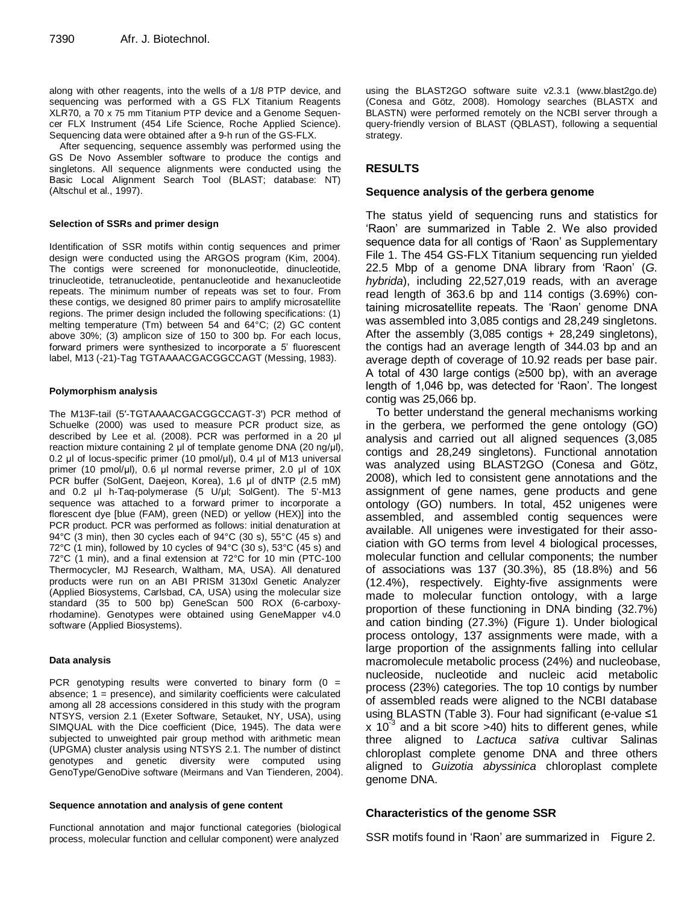along with other reagents, into the wells of a 1/8 PTP device, and sequencing was performed with a GS FLX Titanium Reagents XLR70, a 70 x 75 mm Titanium PTP device and a Genome Sequencer FLX Instrument (454 Life Science, Roche Applied Science). Sequencing data were obtained after a 9-h run of the GS-FLX.

After sequencing, sequence assembly was performed using the GS De Novo Assembler software to produce the contigs and singletons. All sequence alignments were conducted using the Basic Local Alignment Search Tool (BLAST; database: NT) (Altschul et al., 1997).

### **Selection of SSRs and primer design**

Identification of SSR motifs within contig sequences and primer design were conducted using the ARGOS program (Kim, 2004). The contigs were screened for mononucleotide, dinucleotide, trinucleotide, tetranucleotide, pentanucleotide and hexanucleotide repeats. The minimum number of repeats was set to four. From these contigs, we designed 80 primer pairs to amplify microsatellite regions. The primer design included the following specifications: (1) melting temperature (Tm) between 54 and 64°C; (2) GC content above 30%; (3) amplicon size of 150 to 300 bp. For each locus, forward primers were synthesized to incorporate a 5' fluorescent label, M13 (-21)-Tag TGTAAAACGACGGCCAGT (Messing, 1983).

### **Polymorphism analysis**

The M13F-tail (5′-TGTAAAACGACGGCCAGT-3′) PCR method of Schuelke (2000) was used to measure PCR product size, as described by Lee et al. (2008). PCR was performed in a 20 μl reaction mixture containing 2 μl of template genome DNA (20 ng/μl), 0.2 μl of locus-specific primer (10 pmol/μl), 0.4 μl of M13 universal primer (10 pmol/μl), 0.6 μl normal reverse primer, 2.0 μl of 10X PCR buffer (SolGent, Daejeon, Korea), 1.6 μl of dNTP (2.5 mM) and 0.2 μl h-Taq-polymerase (5 U/μl; SolGent). The 5'-M13 sequence was attached to a forward primer to incorporate a florescent dye [blue (FAM), green (NED) or yellow (HEX)] into the PCR product. PCR was performed as follows: initial denaturation at 94°C (3 min), then 30 cycles each of 94°C (30 s), 55°C (45 s) and 72 $\degree$ C (1 min), followed by 10 cycles of 94 $\degree$ C (30 s), 53 $\degree$ C (45 s) and 72°C (1 min), and a final extension at 72°C for 10 min (PTC-100 Thermocycler, MJ Research, Waltham, MA, USA). All denatured products were run on an ABI PRISM 3130xl Genetic Analyzer (Applied Biosystems, Carlsbad, CA, USA) using the molecular size standard (35 to 500 bp) GeneScan 500 ROX (6-carboxyrhodamine). Genotypes were obtained using GeneMapper v4.0 software (Applied Biosystems).

### **Data analysis**

PCR genotyping results were converted to binary form  $(0 =$ absence; 1 = presence), and similarity coefficients were calculated among all 28 accessions considered in this study with the program NTSYS, version 2.1 (Exeter Software, Setauket, NY, USA), using SIMQUAL with the Dice coefficient (Dice, 1945). The data were subjected to unweighted pair group method with arithmetic mean (UPGMA) cluster analysis using NTSYS 2.1. The number of distinct genotypes and genetic diversity were computed using GenoType/GenoDive software (Meirmans and Van Tienderen, 2004).

### **Sequence annotation and analysis of gene content**

Functional annotation and major functional categories (biological process, molecular function and cellular component) were analyzed

using the BLAST2GO software suite v2.3.1 (www.blast2go.de) (Conesa and Götz, 2008). Homology searches (BLASTX and BLASTN) were performed remotely on the NCBI server through a query-friendly version of BLAST (QBLAST), following a sequential strategy.

# **RESULTS**

## **Sequence analysis of the gerbera genome**

The status yield of sequencing runs and statistics for 'Raon' are summarized in Table 2. We also provided sequence data for all contigs of 'Raon' as Supplementary File 1. The 454 GS-FLX Titanium sequencing run yielded 22.5 Mbp of a genome DNA library from 'Raon' (*G. hybrida*), including 22,527,019 reads, with an average read length of 363.6 bp and 114 contigs (3.69%) containing microsatellite repeats. The 'Raon' genome DNA was assembled into 3,085 contigs and 28,249 singletons. After the assembly (3,085 contigs + 28,249 singletons), the contigs had an average length of 344.03 bp and an average depth of coverage of 10.92 reads per base pair. A total of 430 large contigs (≥500 bp), with an average length of 1,046 bp, was detected for 'Raon'. The longest contig was 25,066 bp.

To better understand the general mechanisms working in the gerbera, we performed the gene ontology (GO) analysis and carried out all aligned sequences (3,085 contigs and 28,249 singletons). Functional annotation was analyzed using BLAST2GO (Conesa and Götz, 2008), which led to consistent gene annotations and the assignment of gene names, gene products and gene ontology (GO) numbers. In total, 452 unigenes were assembled, and assembled contig sequences were available. All unigenes were investigated for their association with GO terms from level 4 biological processes, molecular function and cellular components; the number of associations was 137 (30.3%), 85 (18.8%) and 56 (12.4%), respectively. Eighty-five assignments were made to molecular function ontology, with a large proportion of these functioning in DNA binding (32.7%) and cation binding (27.3%) (Figure 1). Under biological process ontology, 137 assignments were made, with a large proportion of the assignments falling into cellular macromolecule metabolic process (24%) and nucleobase, nucleoside, nucleotide and nucleic acid metabolic process (23%) categories. The top 10 contigs by number of assembled reads were aligned to the NCBI database using BLASTN (Table 3). Four had significant (e-value ≤1 x 10<sup>-3</sup> and a bit score >40) hits to different genes, while three aligned to *Lactuca sativa* cultivar Salinas chloroplast complete genome DNA and three others aligned to *Guizotia abyssinica* chloroplast complete genome DNA.

## **Characteristics of the genome SSR**

SSR motifs found in 'Raon' are summarized in Figure 2.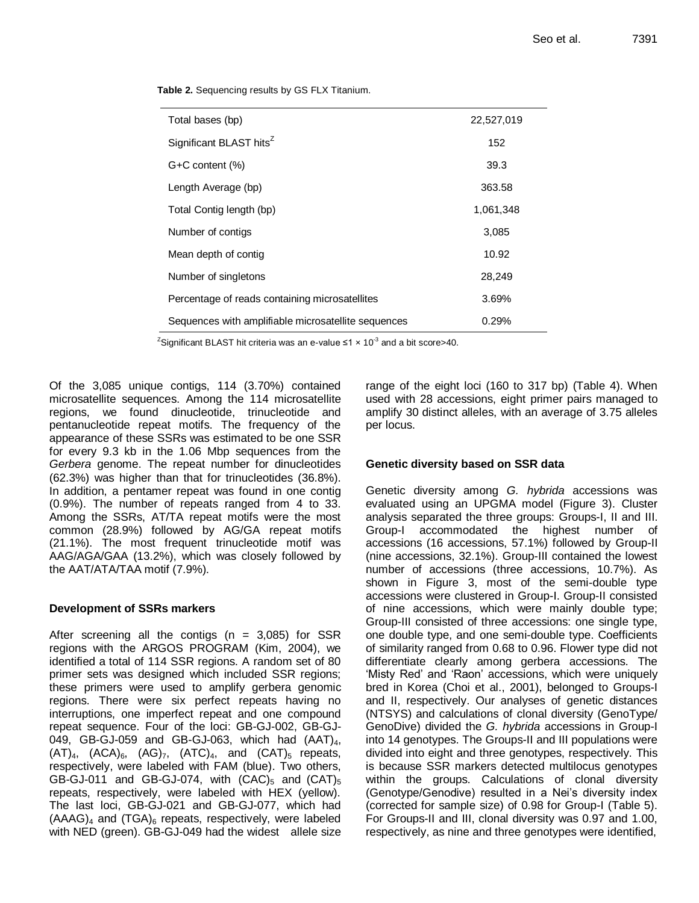**Table 2.** Sequencing results by GS FLX Titanium.

| Total bases (bp)                                    | 22,527,019 |
|-----------------------------------------------------|------------|
| Significant BLAST hits <sup>Z</sup>                 | 152        |
| $G+C$ content $(\%)$                                | 39.3       |
| Length Average (bp)                                 | 363.58     |
| Total Contig length (bp)                            | 1,061,348  |
| Number of contigs                                   | 3,085      |
| Mean depth of contig                                | 10.92      |
| Number of singletons                                | 28,249     |
| Percentage of reads containing microsatellites      | 3.69%      |
| Sequences with amplifiable microsatellite sequences | 0.29%      |

<sup>Z</sup>Significant BLAST hit criteria was an e-value ≤1 x 10<sup>-3</sup> and a bit score>40.

Of the 3,085 unique contigs, 114 (3.70%) contained microsatellite sequences. Among the 114 microsatellite regions, we found dinucleotide, trinucleotide and pentanucleotide repeat motifs. The frequency of the appearance of these SSRs was estimated to be one SSR for every 9.3 kb in the 1.06 Mbp sequences from the *Gerbera* genome. The repeat number for dinucleotides (62.3%) was higher than that for trinucleotides (36.8%). In addition, a pentamer repeat was found in one contig (0.9%). The number of repeats ranged from 4 to 33. Among the SSRs, AT/TA repeat motifs were the most common (28.9%) followed by AG/GA repeat motifs (21.1%). The most frequent trinucleotide motif was AAG/AGA/GAA (13.2%), which was closely followed by the AAT/ATA/TAA motif (7.9%).

## **Development of SSRs markers**

After screening all the contigs  $(n = 3.085)$  for SSR regions with the ARGOS PROGRAM (Kim, 2004), we identified a total of 114 SSR regions. A random set of 80 primer sets was designed which included SSR regions; these primers were used to amplify gerbera genomic regions. There were six perfect repeats having no interruptions, one imperfect repeat and one compound repeat sequence. Four of the loci: GB-GJ-002, GB-GJ-049, GB-GJ-059 and GB-GJ-063, which had  $(AAT)<sub>4</sub>$ ,  $(AT)_{4}$ ,  $(ACA)_{6}$ ,  $(AG)_{7}$ ,  $(ATC)_{4}$ , and  $(CAT)_{5}$  repeats, respectively, were labeled with FAM (blue). Two others, GB-GJ-011 and GB-GJ-074, with  $(CAC)_{5}$  and  $(CAT)_{5}$ repeats, respectively, were labeled with HEX (yellow). The last loci, GB-GJ-021 and GB-GJ-077, which had  $(AAAG)<sub>4</sub>$  and  $(TGA)<sub>6</sub>$  repeats, respectively, were labeled with NED (green). GB-GJ-049 had the widest allele size range of the eight loci (160 to 317 bp) (Table 4). When used with 28 accessions, eight primer pairs managed to amplify 30 distinct alleles, with an average of 3.75 alleles per locus.

## **Genetic diversity based on SSR data**

Genetic diversity among *G. hybrida* accessions was evaluated using an UPGMA model (Figure 3). Cluster analysis separated the three groups: Groups-I, II and III. Group-I accommodated the highest number of accessions (16 accessions, 57.1%) followed by Group-II (nine accessions, 32.1%). Group-III contained the lowest number of accessions (three accessions, 10.7%). As shown in Figure 3, most of the semi-double type accessions were clustered in Group-I. Group-II consisted of nine accessions, which were mainly double type; Group-III consisted of three accessions: one single type, one double type, and one semi-double type. Coefficients of similarity ranged from 0.68 to 0.96. Flower type did not differentiate clearly among gerbera accessions. The 'Misty Red' and 'Raon' accessions, which were uniquely bred in Korea (Choi et al., 2001), belonged to Groups-I and II, respectively. Our analyses of genetic distances (NTSYS) and calculations of clonal diversity (GenoType/ GenoDive) divided the *G. hybrida* accessions in Group-I into 14 genotypes. The Groups-II and III populations were divided into eight and three genotypes, respectively. This is because SSR markers detected multilocus genotypes within the groups. Calculations of clonal diversity (Genotype/Genodive) resulted in a Nei's diversity index (corrected for sample size) of 0.98 for Group-I (Table 5). For Groups-II and III, clonal diversity was 0.97 and 1.00, respectively, as nine and three genotypes were identified,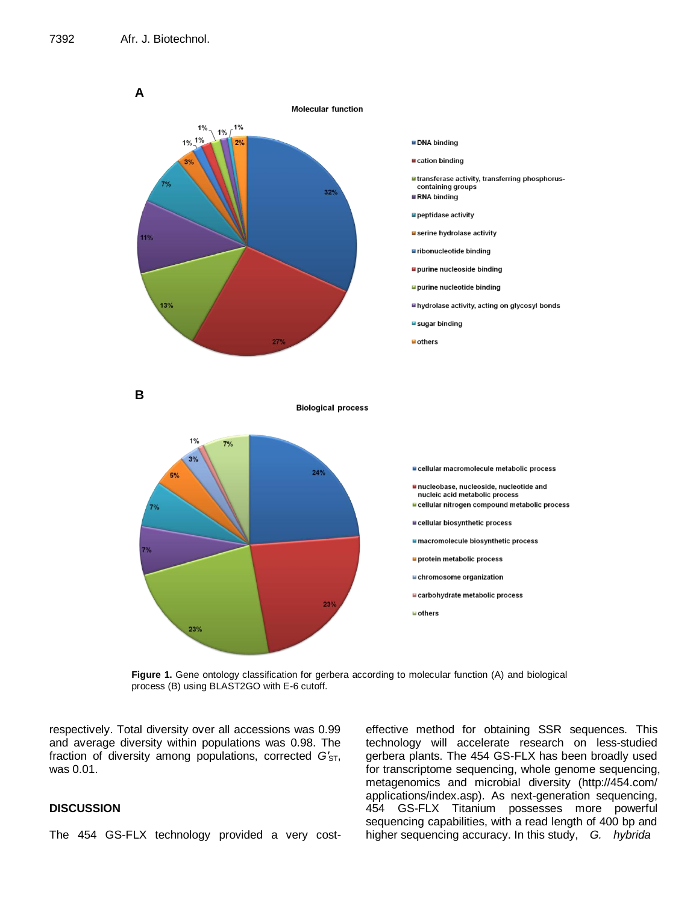

**Figure 1.** Gene ontology classification for gerbera according to molecular function (A) and biological process (B) using BLAST2GO with E-6 cutoff.

respectively. Total diversity over all accessions was 0.99 and average diversity within populations was 0.98. The fraction of diversity among populations, corrected  $G'_{ST}$ , was 0.01.

## **DISCUSSION**

The 454 GS-FLX technology provided a very cost-

effective method for obtaining SSR sequences. This technology will accelerate research on less-studied gerbera plants. The 454 GS-FLX has been broadly used for transcriptome sequencing, whole genome sequencing, metagenomics and microbial diversity (http://454.com/ applications/index.asp). As next-generation sequencing, 454 GS-FLX Titanium possesses more powerful sequencing capabilities, with a read length of 400 bp and higher sequencing accuracy. In this study, *G. hybrida*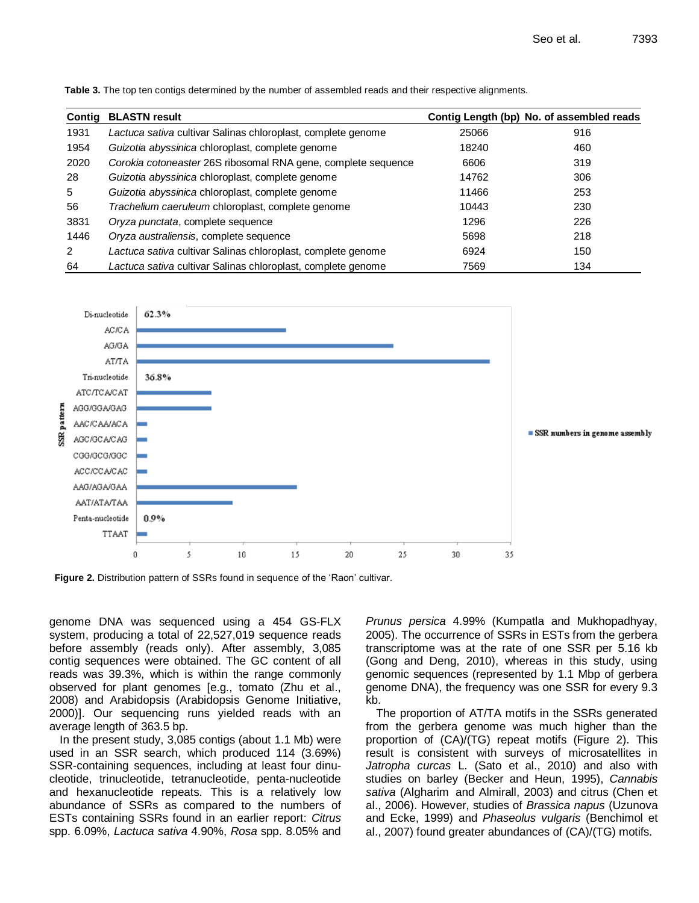| Contig         | <b>BLASTN result</b>                                          |       | Contig Length (bp) No. of assembled reads |
|----------------|---------------------------------------------------------------|-------|-------------------------------------------|
| 1931           | Lactuca sativa cultivar Salinas chloroplast, complete genome  | 25066 | 916                                       |
| 1954           | Guizotia abyssinica chloroplast, complete genome              | 18240 | 460                                       |
| 2020           | Corokia cotoneaster 26S ribosomal RNA gene, complete sequence | 6606  | 319                                       |
| 28             | Guizotia abyssinica chloroplast, complete genome              | 14762 | 306                                       |
| 5              | Guizotia abyssinica chloroplast, complete genome              | 11466 | 253                                       |
| 56             | Trachelium caeruleum chloroplast, complete genome             | 10443 | 230                                       |
| 3831           | Oryza punctata, complete sequence                             | 1296  | 226                                       |
| 1446           | Oryza australiensis, complete sequence                        | 5698  | 218                                       |
| $\overline{2}$ | Lactuca sativa cultivar Salinas chloroplast, complete genome  | 6924  | 150                                       |
| 64             | Lactuca sativa cultivar Salinas chloroplast, complete genome  | 7569  | 134                                       |

**Table 3.** The top ten contigs determined by the number of assembled reads and their respective alignments.



**Figure 2.** Distribution pattern of SSRs found in sequence of the 'Raon' cultivar.

genome DNA was sequenced using a 454 GS-FLX system, producing a total of 22,527,019 sequence reads before assembly (reads only). After assembly, 3,085 contig sequences were obtained. The GC content of all reads was 39.3%, which is within the range commonly observed for plant genomes [e.g., tomato (Zhu et al., 2008) and Arabidopsis (Arabidopsis Genome Initiative, 2000)]. Our sequencing runs yielded reads with an average length of 363.5 bp.

In the present study, 3,085 contigs (about 1.1 Mb) were used in an SSR search, which produced 114 (3.69%) SSR-containing sequences, including at least four dinucleotide, trinucleotide, tetranucleotide, penta-nucleotide and hexanucleotide repeats. This is a relatively low abundance of SSRs as compared to the numbers of ESTs containing SSRs found in an earlier report: *Citrus* spp. 6.09%, *Lactuca sativa* 4.90%, *Rosa* spp. 8.05% and *Prunus persica* 4.99% (Kumpatla and Mukhopadhyay, 2005). The occurrence of SSRs in ESTs from the gerbera transcriptome was at the rate of one SSR per 5.16 kb (Gong and Deng, 2010), whereas in this study, using genomic sequences (represented by 1.1 Mbp of gerbera genome DNA), the frequency was one SSR for every 9.3 kb.

The proportion of AT/TA motifs in the SSRs generated from the gerbera genome was much higher than the proportion of (CA)/(TG) repeat motifs (Figure 2). This result is consistent with surveys of microsatellites in *Jatropha curcas* L. (Sato et al., 2010) and also with studies on barley (Becker and Heun, 1995), *Cannabis sativa* (Algharim and Almirall, 2003) and citrus (Chen et al., 2006). However, studies of *Brassica napus* (Uzunova and Ecke, 1999) and *Phaseolus vulgaris* (Benchimol et al., 2007) found greater abundances of (CA)/(TG) motifs.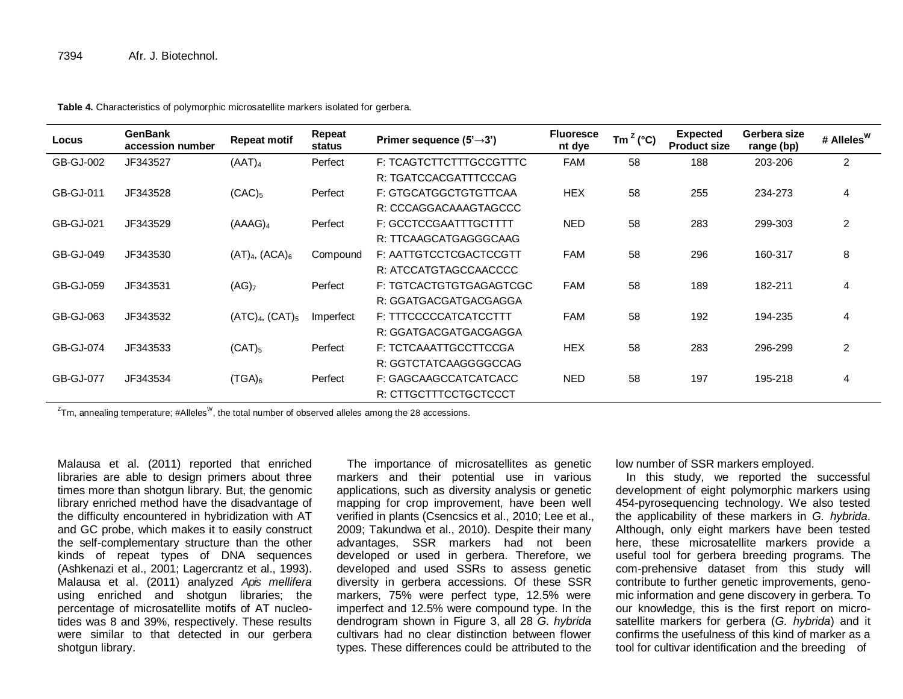| Locus            | <b>GenBank</b><br>accession number | <b>Repeat motif</b>                    | Repeat<br>status | Primer sequence $(5' \rightarrow 3')$ | <b>Fluoresce</b><br>nt dye | Tm <sup><math>Z</math></sup> (°C) | <b>Expected</b><br><b>Product size</b> | Gerbera size<br>range (bp) | # Alleles <sup>w</sup> |
|------------------|------------------------------------|----------------------------------------|------------------|---------------------------------------|----------------------------|-----------------------------------|----------------------------------------|----------------------------|------------------------|
| GB-GJ-002        | JF343527                           | (AAT) <sub>4</sub>                     | Perfect          | F: TCAGTCTTCTTTGCCGTTTC               | <b>FAM</b>                 | 58                                | 188                                    | 203-206                    | $\overline{2}$         |
|                  |                                    |                                        |                  | R: TGATCCACGATTTCCCAG                 |                            |                                   |                                        |                            |                        |
| GB-GJ-011        | JF343528                           | $(CAC)_5$                              | Perfect          | F: GTGCATGGCTGTGTTCAA                 | <b>HEX</b>                 | 58                                | 255                                    | 234-273                    | $\overline{4}$         |
|                  |                                    |                                        |                  | R: CCCAGGACAAAGTAGCCC                 |                            |                                   |                                        |                            |                        |
| GB-GJ-021        | JF343529                           | (AAAG) <sub>4</sub>                    | Perfect          | F: GCCTCCGAATTTGCTTTT                 | <b>NED</b>                 | 58                                | 283                                    | 299-303                    | $\overline{2}$         |
|                  |                                    |                                        |                  | R: TTCAAGCATGAGGGCAAG                 |                            |                                   |                                        |                            |                        |
| GB-GJ-049        | JF343530                           | (AT) <sub>4</sub> , (ACA) <sub>6</sub> | Compound         | F: AATTGTCCTCGACTCCGTT                | <b>FAM</b>                 | 58                                | 296                                    | 160-317                    | 8                      |
|                  |                                    |                                        |                  | R: ATCCATGTAGCCAACCCC                 |                            |                                   |                                        |                            |                        |
| GB-GJ-059        | JF343531                           | (AG) <sub>7</sub>                      | Perfect          | F: TGTCACTGTGTGAGAGTCGC               | <b>FAM</b>                 | 58                                | 189                                    | 182-211                    | 4                      |
|                  |                                    |                                        |                  | R: GGATGACGATGACGAGGA                 |                            |                                   |                                        |                            |                        |
| GB-GJ-063        | JF343532                           | $(ATC)4$ , $(CAT)5$                    | Imperfect        | F: TTTCCCCCATCATCCTTT                 | <b>FAM</b>                 | 58                                | 192                                    | 194-235                    | $\overline{4}$         |
|                  |                                    |                                        |                  | R: GGATGACGATGACGAGGA                 |                            |                                   |                                        |                            |                        |
| GB-GJ-074        | JF343533                           | $(CAT)_{5}$                            | Perfect          | F: TCTCAAATTGCCTTCCGA                 | <b>HEX</b>                 | 58                                | 283                                    | 296-299                    | $\overline{c}$         |
|                  |                                    |                                        |                  | R: GGTCTATCAAGGGGCCAG                 |                            |                                   |                                        |                            |                        |
| <b>GB-GJ-077</b> | JF343534                           | (TGA) <sub>6</sub>                     | Perfect          | F: GAGCAAGCCATCATCACC                 | <b>NED</b>                 | 58                                | 197                                    | 195-218                    | $\overline{4}$         |
|                  |                                    |                                        |                  | R: CTTGCTTTCCTGCTCCCT                 |                            |                                   |                                        |                            |                        |

**Table 4.** Characteristics of polymorphic microsatellite markers isolated for gerbera.

 $^{\mathsf{Z}}$ Tm, annealing temperature; #Alleles<sup>W</sup>, the total number of observed alleles among the 28 accessions.

Malausa et al. (2011) reported that enriched libraries are able to design primers about three times more than shotgun library. But, the genomic library enriched method have the disadvantage of the difficulty encountered in hybridization with AT and GC probe, which makes it to easily construct the self-complementary structure than the other kinds of repeat types of DNA sequences (Ashkenazi et al., 2001; Lagercrantz et al., 1993). Malausa et al. (2011) analyzed *Apis mellifera*  using enriched and shotgun libraries; the percentage of microsatellite motifs of AT nucleotides was 8 and 39%, respectively. These results were similar to that detected in our gerbera shotgun library.

The importance of microsatellites as genetic markers and their potential use in various applications, such as diversity analysis or genetic mapping for crop improvement, have been well verified in plants (Csencsics et al., 2010; Lee et al., 2009; Takundwa et al., 2010). Despite their many advantages, SSR markers had not been developed or used in gerbera. Therefore, we developed and used SSRs to assess genetic diversity in gerbera accessions. Of these SSR markers, 75% were perfect type, 12.5% were imperfect and 12.5% were compound type. In the dendrogram shown in Figure 3, all 28 *G. hybrida* cultivars had no clear distinction between flower types. These differences could be attributed to the

low number of SSR markers employed.

In this study, we reported the successful development of eight polymorphic markers using 454-pyrosequencing technology. We also tested the applicability of these markers in *G. hybrida*. Although, only eight markers have been tested here, these microsatellite markers provide a useful tool for gerbera breeding programs. The com-prehensive dataset from this study will contribute to further genetic improvements, genomic information and gene discovery in gerbera. To our knowledge, this is the first report on microsatellite markers for gerbera (*G. hybrida*) and it confirms the usefulness of this kind of marker as a tool for cultivar identification and the breeding of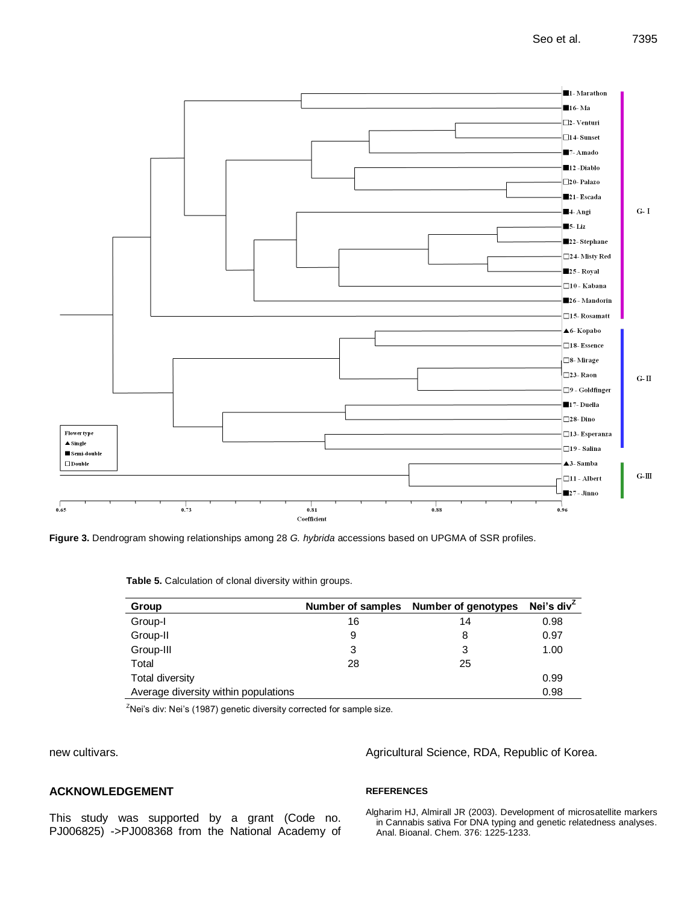

**Figure 3.** Dendrogram showing relationships among 28 *G. hybrida* accessions based on UPGMA of SSR profiles.

**Table 5.** Calculation of clonal diversity within groups.

| Group                                |    | Number of samples Number of genotypes | Nei's div $\overline{ }$ |
|--------------------------------------|----|---------------------------------------|--------------------------|
| Group-I                              | 16 | 14                                    | 0.98                     |
| Group-II                             | 9  | 8                                     | 0.97                     |
| Group-III                            | 3  | 3                                     | 1.00                     |
| Total                                | 28 | 25                                    |                          |
| <b>Total diversity</b>               |    |                                       | 0.99                     |
| Average diversity within populations |    |                                       | 0.98                     |

 $Z$ Nei's div: Nei's (1987) genetic diversity corrected for sample size.

new cultivars.

# **ACKNOWLEDGEMENT**

This study was supported by a grant (Code no. PJ006825) ->PJ008368 from the National Academy of Agricultural Science, RDA, Republic of Korea.

## **REFERENCES**

Algharim HJ, Almirall JR (2003). Development of microsatellite markers in Cannabis sativa For DNA typing and genetic relatedness analyses. Anal. Bioanal. Chem. 376: 1225-1233.